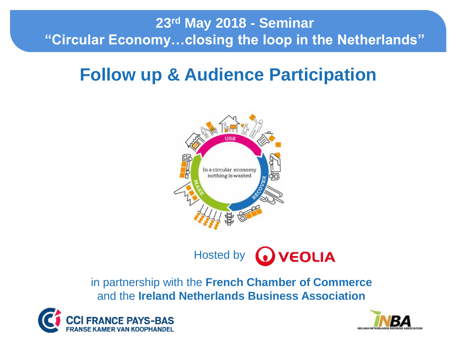#### **23rd May 2018 - Seminar "Circular Economy…closing the loop in the Netherlands"**

# **Follow up & Audience Participation**



Hosted by **WEOLIA** 

in partnership with the **French Chamber of Commerce**  and the **Ireland Netherlands Business Association**



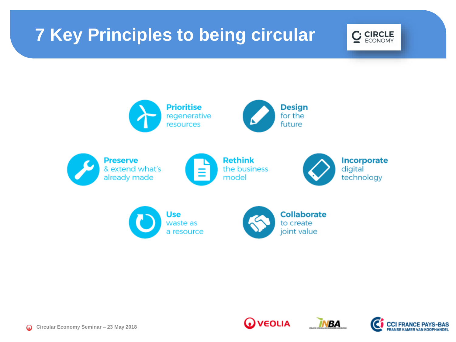# **7 Key Principles to being circular**





**WEOLIA** 

**BA** 

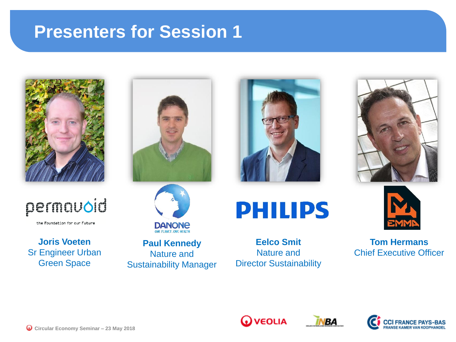### **Presenters for Session 1**





the Foundation for our Future

**Joris Voeten** Sr Engineer Urban Green Space





**Paul Kennedy** Nature and Sustainability Manager

# **PHILIPS**

**Eelco Smit** Nature and Director Sustainability





**Tom Hermans** Chief Executive Officer







**Circular Economy Seminar – 23 May 2018**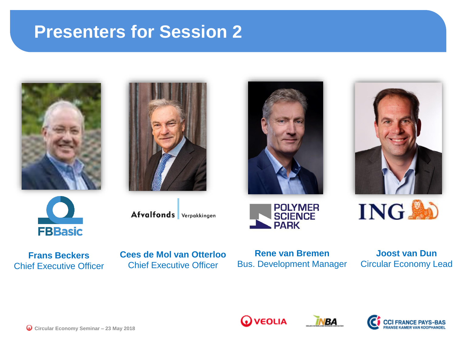### **Presenters for Session 2**













**Frans Beckers** Chief Executive Officer Afvalfonds Verpakkingen

**Cees de Mol van Otterloo** Chief Executive Officer



**Joost van Dun** Circular Economy Lead



**WEOLIA** 

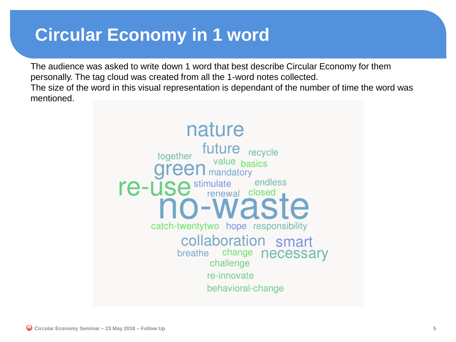### **Circular Economy in 1 word**

The audience was asked to write down 1 word that best describe Circular Economy for them personally. The tag cloud was created from all the 1-word notes collected. The size of the word in this visual representation is dependant of the number of time the word was mentioned.

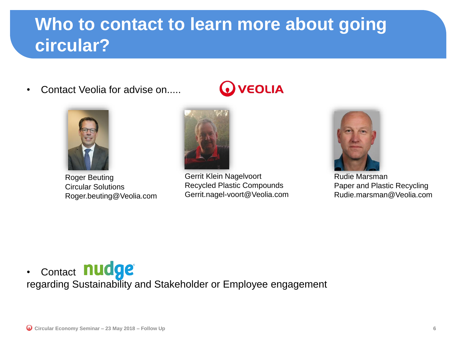## **Who to contact to learn more about going circular?**

• Contact Veolia for advise on.....



Roger Beuting Circular Solutions Roger.beuting@Veolia.com



Gerrit Klein Nagelvoort Recycled Plastic Compounds Gerrit.nagel-voort@Veolia.com

**VEOLIA** 



Rudie Marsman Paper and Plastic Recycling Rudie.marsman@Veolia.com

• Contact nudge® regarding [Sustainability an](https://www.nudge.nl/over/succesverhalen/)d Stakeholder or Employee engagement